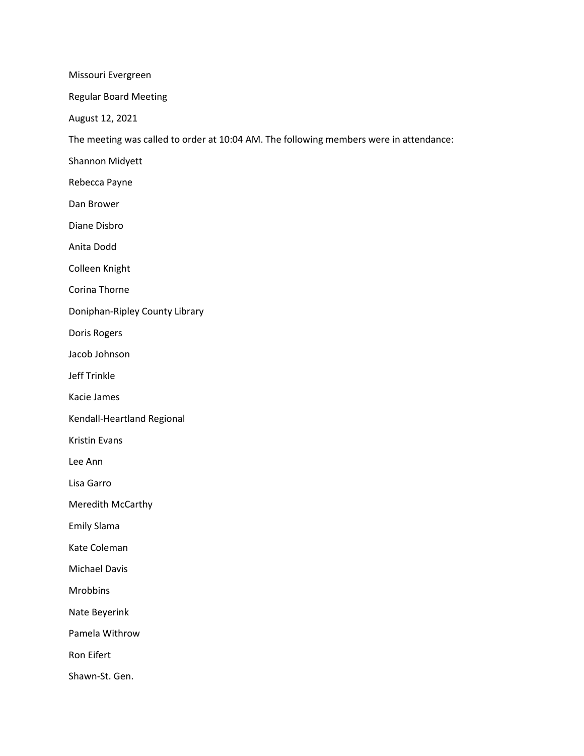Missouri Evergreen

Regular Board Meeting

August 12, 2021

The meeting was called to order at 10:04 AM. The following members were in attendance:

Shannon Midyett

Rebecca Payne

Dan Brower

Diane Disbro

Anita Dodd

Colleen Knight

Corina Thorne

Doniphan-Ripley County Library

Doris Rogers

Jacob Johnson

Jeff Trinkle

Kacie James

Kendall-Heartland Regional

Kristin Evans

Lee Ann

Lisa Garro

Meredith McCarthy

Emily Slama

Kate Coleman

Michael Davis

Mrobbins

Nate Beyerink

Pamela Withrow

Ron Eifert

Shawn-St. Gen.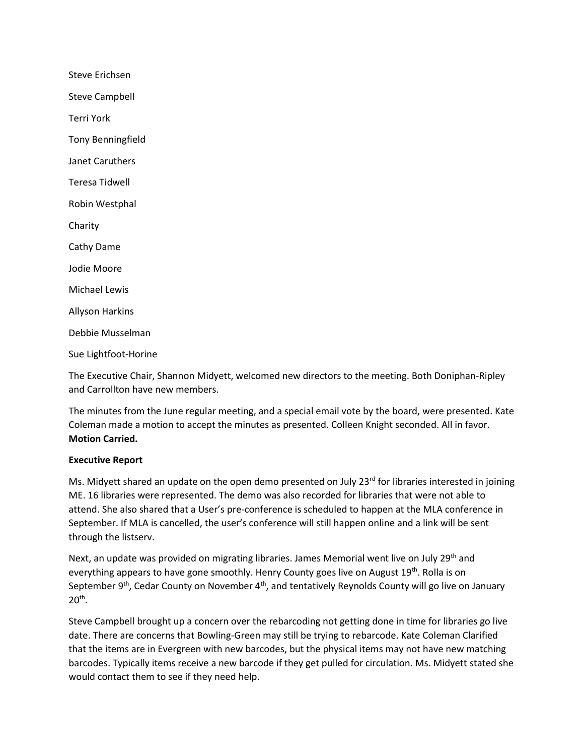Steve Erichsen Steve Campbell Terri York Tony Benningfield Janet Caruthers Teresa Tidwell Robin Westphal Charity Cathy Dame Jodie Moore Michael Lewis Allyson Harkins Debbie Musselman Sue Lightfoot-Horine

The Executive Chair, Shannon Midyett, welcomed new directors to the meeting. Both Doniphan-Ripley and Carrollton have new members.

The minutes from the June regular meeting, and a special email vote by the board, were presented. Kate Coleman made a motion to accept the minutes as presented. Colleen Knight seconded. All in favor. **Motion Carried.**

#### **Executive Report**

Ms. Midyett shared an update on the open demo presented on July 23<sup>rd</sup> for libraries interested in joining ME. 16 libraries were represented. The demo was also recorded for libraries that were not able to attend. She also shared that a User's pre-conference is scheduled to happen at the MLA conference in September. If MLA is cancelled, the user's conference will still happen online and a link will be sent through the listserv.

Next, an update was provided on migrating libraries. James Memorial went live on July 29<sup>th</sup> and everything appears to have gone smoothly. Henry County goes live on August  $19<sup>th</sup>$ . Rolla is on September  $9<sup>th</sup>$ , Cedar County on November  $4<sup>th</sup>$ , and tentatively Reynolds County will go live on January  $20<sup>th</sup>$ .

Steve Campbell brought up a concern over the rebarcoding not getting done in time for libraries go live date. There are concerns that Bowling-Green may still be trying to rebarcode. Kate Coleman Clarified that the items are in Evergreen with new barcodes, but the physical items may not have new matching barcodes. Typically items receive a new barcode if they get pulled for circulation. Ms. Midyett stated she would contact them to see if they need help.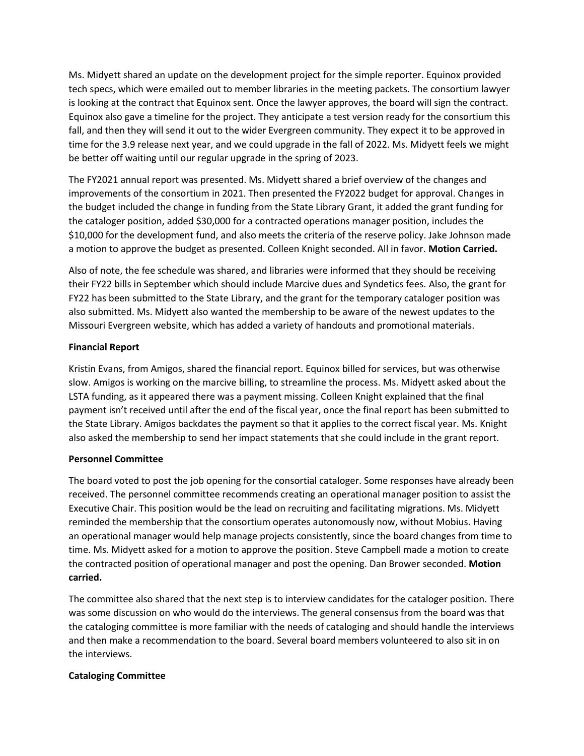Ms. Midyett shared an update on the development project for the simple reporter. Equinox provided tech specs, which were emailed out to member libraries in the meeting packets. The consortium lawyer is looking at the contract that Equinox sent. Once the lawyer approves, the board will sign the contract. Equinox also gave a timeline for the project. They anticipate a test version ready for the consortium this fall, and then they will send it out to the wider Evergreen community. They expect it to be approved in time for the 3.9 release next year, and we could upgrade in the fall of 2022. Ms. Midyett feels we might be better off waiting until our regular upgrade in the spring of 2023.

The FY2021 annual report was presented. Ms. Midyett shared a brief overview of the changes and improvements of the consortium in 2021. Then presented the FY2022 budget for approval. Changes in the budget included the change in funding from the State Library Grant, it added the grant funding for the cataloger position, added \$30,000 for a contracted operations manager position, includes the \$10,000 for the development fund, and also meets the criteria of the reserve policy. Jake Johnson made a motion to approve the budget as presented. Colleen Knight seconded. All in favor. **Motion Carried.**

Also of note, the fee schedule was shared, and libraries were informed that they should be receiving their FY22 bills in September which should include Marcive dues and Syndetics fees. Also, the grant for FY22 has been submitted to the State Library, and the grant for the temporary cataloger position was also submitted. Ms. Midyett also wanted the membership to be aware of the newest updates to the Missouri Evergreen website, which has added a variety of handouts and promotional materials.

## **Financial Report**

Kristin Evans, from Amigos, shared the financial report. Equinox billed for services, but was otherwise slow. Amigos is working on the marcive billing, to streamline the process. Ms. Midyett asked about the LSTA funding, as it appeared there was a payment missing. Colleen Knight explained that the final payment isn't received until after the end of the fiscal year, once the final report has been submitted to the State Library. Amigos backdates the payment so that it applies to the correct fiscal year. Ms. Knight also asked the membership to send her impact statements that she could include in the grant report.

# **Personnel Committee**

The board voted to post the job opening for the consortial cataloger. Some responses have already been received. The personnel committee recommends creating an operational manager position to assist the Executive Chair. This position would be the lead on recruiting and facilitating migrations. Ms. Midyett reminded the membership that the consortium operates autonomously now, without Mobius. Having an operational manager would help manage projects consistently, since the board changes from time to time. Ms. Midyett asked for a motion to approve the position. Steve Campbell made a motion to create the contracted position of operational manager and post the opening. Dan Brower seconded. **Motion carried.**

The committee also shared that the next step is to interview candidates for the cataloger position. There was some discussion on who would do the interviews. The general consensus from the board was that the cataloging committee is more familiar with the needs of cataloging and should handle the interviews and then make a recommendation to the board. Several board members volunteered to also sit in on the interviews.

# **Cataloging Committee**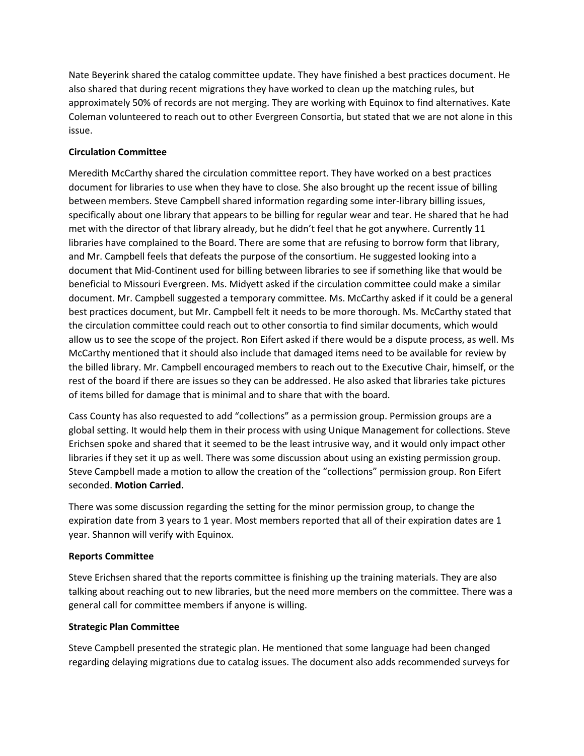Nate Beyerink shared the catalog committee update. They have finished a best practices document. He also shared that during recent migrations they have worked to clean up the matching rules, but approximately 50% of records are not merging. They are working with Equinox to find alternatives. Kate Coleman volunteered to reach out to other Evergreen Consortia, but stated that we are not alone in this issue.

## **Circulation Committee**

Meredith McCarthy shared the circulation committee report. They have worked on a best practices document for libraries to use when they have to close. She also brought up the recent issue of billing between members. Steve Campbell shared information regarding some inter-library billing issues, specifically about one library that appears to be billing for regular wear and tear. He shared that he had met with the director of that library already, but he didn't feel that he got anywhere. Currently 11 libraries have complained to the Board. There are some that are refusing to borrow form that library, and Mr. Campbell feels that defeats the purpose of the consortium. He suggested looking into a document that Mid-Continent used for billing between libraries to see if something like that would be beneficial to Missouri Evergreen. Ms. Midyett asked if the circulation committee could make a similar document. Mr. Campbell suggested a temporary committee. Ms. McCarthy asked if it could be a general best practices document, but Mr. Campbell felt it needs to be more thorough. Ms. McCarthy stated that the circulation committee could reach out to other consortia to find similar documents, which would allow us to see the scope of the project. Ron Eifert asked if there would be a dispute process, as well. Ms McCarthy mentioned that it should also include that damaged items need to be available for review by the billed library. Mr. Campbell encouraged members to reach out to the Executive Chair, himself, or the rest of the board if there are issues so they can be addressed. He also asked that libraries take pictures of items billed for damage that is minimal and to share that with the board.

Cass County has also requested to add "collections" as a permission group. Permission groups are a global setting. It would help them in their process with using Unique Management for collections. Steve Erichsen spoke and shared that it seemed to be the least intrusive way, and it would only impact other libraries if they set it up as well. There was some discussion about using an existing permission group. Steve Campbell made a motion to allow the creation of the "collections" permission group. Ron Eifert seconded. **Motion Carried.**

There was some discussion regarding the setting for the minor permission group, to change the expiration date from 3 years to 1 year. Most members reported that all of their expiration dates are 1 year. Shannon will verify with Equinox.

#### **Reports Committee**

Steve Erichsen shared that the reports committee is finishing up the training materials. They are also talking about reaching out to new libraries, but the need more members on the committee. There was a general call for committee members if anyone is willing.

#### **Strategic Plan Committee**

Steve Campbell presented the strategic plan. He mentioned that some language had been changed regarding delaying migrations due to catalog issues. The document also adds recommended surveys for